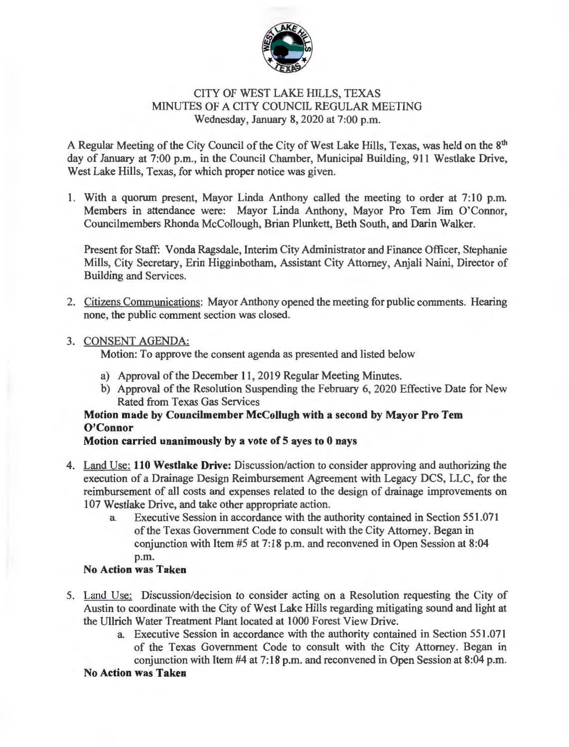

## CITY OF WEST LAKE HILLS, TEXAS MINUTES OF A CITY COUNCIL REGULAR MEETING Wednesday, January 8, 2020 at 7:00 p.m.

A Regular Meeting of the City Council of the City of West Lake Hills, Texas, was held on the 8<sup>th</sup> day of January at 7:00 p.m., in the Council Chamber, Municipal Building, 911 Westlake Drive, West Lake Hills, Texas, for which proper notice was given.

1. With a quorum present, Mayor Linda Anthony called the meeting to order at 7:10 p.m. Members in attendance were: Mayor Linda Anthony, Mayor Pro Tem Jim O'Connor, Councilmembers Rhonda McCollough, Brian Plunkett, Beth South, and Darin Walker.

Present for Staff: Vonda Ragsdale, Interim City Administrator and Finance Officer, Stephanie Mills, City Secretary, Erin Higginbotham, Assistant City Attorney, Anjali Naini, Director of Building and Services.

2. Citizens Communications: Mayor Anthony opened the meeting for public comments. Hearing none, the public comment section was closed.

## 3. CONSENT AGENDA:

Motion: To approve the consent agenda as presented and listed below

- a) Approval of the December 11, 2019 Regular Meeting Minutes.
- b) Approval of the Resolution Suspending the February 6, 2020 Effective Date for New Rated from Texas Gas Services

# Motion made by Councilmember McCollugh with a second by Mayor Pro Tem O'Connor

# Motion carried unanimously by a vote of 5 ayes to 0 nays

- 4. Land Use: 110 Westlake Drive: Discussion/action to consider approving and authorizing the execution of a Drainage Design Reimbursement Agreement with Legacy DCS, LLC, for the reimbursement of all costs and expenses related to the design of drainage improvements on 107 Westlake Drive, and take other appropriate action.
	- a. Executive Session in accordance with the authority contained in Section 551.071 of the Texas Government Code to consult with the City Attorney. Began in conjunction with Item #5 at 7:18 p.m. and reconvened in Open Session at 8:04 p.m.

# No Action was Taken

- 5. Land Use: Discussion/decision to consider acting on a Resolution requesting the City of Austin to coordinate with the City of West Lake Hills regarding mitigating sound and light at the Ullrich Water Treatment Plant located at 1000 Forest View Drive.
	- a. Executive Session in accordance with the authority contained in Section 551.071 of the Texas Government Code to consult with the City Attorney. Began in conjunction with Item #4 at 7:18 p.m. and reconvened in Open Session at 8:04 p.m.

#### No Action was Taken